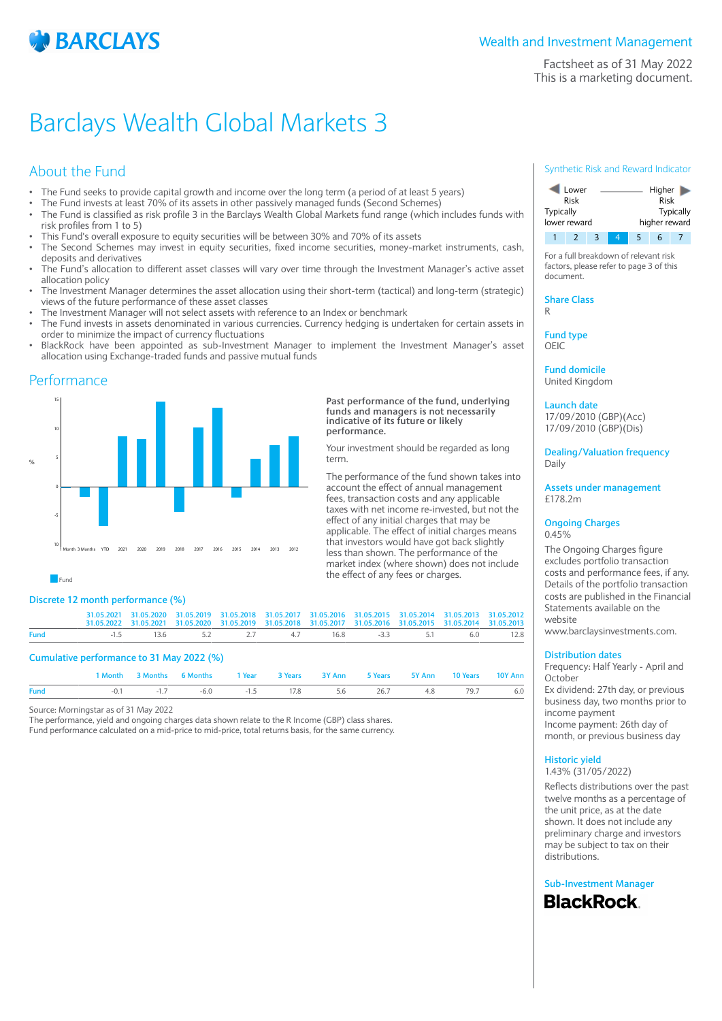

Factsheet as of 31 May 2022 This is a marketing document.

# Barclays Wealth Global Markets 3

# About the Fund

- The Fund seeks to provide capital growth and income over the long term (a period of at least 5 years)
- The Fund invests at least 70% of its assets in other passively managed funds (Second Schemes)
- The Fund is classified as risk profile 3 in the Barclays Wealth Global Markets fund range (which includes funds with risk profiles from 1 to 5)
- This Fund's overall exposure to equity securities will be between 30% and 70% of its assets
- The Second Schemes may invest in equity securities, fixed income securities, money-market instruments, cash, deposits and derivatives
- The Fund's allocation to different asset classes will vary over time through the Investment Manager's active asset allocation policy
- The Investment Manager determines the asset allocation using their short-term (tactical) and long-term (strategic) views of the future performance of these asset classes
- The Investment Manager will not select assets with reference to an Index or benchmark
- The Fund invests in assets denominated in various currencies. Currency hedging is undertaken for certain assets in order to minimize the impact of currency fluctuations
- BlackRock have been appointed as sub-Investment Manager to implement the Investment Manager's asset allocation using Exchange-traded funds and passive mutual funds

### Performance



#### **Past performance of the fund, underlying funds and managers is not necessarily indicative of its future or likely performance.**

Your investment should be regarded as long term.

The performance of the fund shown takes into account the effect of annual management fees, transaction costs and any applicable taxes with net income re-invested, but not the effect of any initial charges that may be applicable. The effect of initial charges means that investors would have got back slightly less than shown. The performance of the market index (where shown) does not include the effect of any fees or charges.

 $F$ und

#### **Discrete 12 month performance (%)**

|      |                                           | 1 Month 3 Months 6 Months | and 1 Year |                                                                                                               | 3 Years 3Y Ann | 5 Years 5Y Ann                                                                                                | 10 Years | 10Y Ann |
|------|-------------------------------------------|---------------------------|------------|---------------------------------------------------------------------------------------------------------------|----------------|---------------------------------------------------------------------------------------------------------------|----------|---------|
|      | Cumulative performance to 31 May 2022 (%) |                           |            |                                                                                                               |                |                                                                                                               |          |         |
| Fund |                                           | $-1.5$                    |            |                                                                                                               |                | $13.6$ $5.2$ $2.7$ $4.7$ $16.8$ $-3.3$ $5.1$                                                                  | 6.0      | 12.8    |
|      |                                           |                           |            | 31.05.2021 31.05.2020 31.05.2019 31.05.2018 31.05.2017 31.05.2016 31.05.2015 31.05.2014 31.05.2013 31.05.2012 |                | 31.05.2022 31.05.2021 31.05.2020 31.05.2019 31.05.2018 31.05.2017 31.05.2016 31.05.2015 31.05.2014 31.05.2013 |          |         |

**Fund** -0.1 -1.7 -6.0 -1.5 17.8 5.6 26.7 4.8 79.7 6.0

Source: Morningstar as of 31 May 2022

The performance, yield and ongoing charges data shown relate to the R Income (GBP) class shares. Fund performance calculated on a mid-price to mid-price, total returns basis, for the same currency.

#### Synthetic Risk and Reward Indicator

| Lower        |  |   |  | Higher        |   |  |  |
|--------------|--|---|--|---------------|---|--|--|
| Risk         |  |   |  | Risk          |   |  |  |
| Typically    |  |   |  | Typically     |   |  |  |
| lower reward |  |   |  | higher reward |   |  |  |
|              |  | 2 |  |               | h |  |  |

For a full breakdown of relevant risk factors, please refer to page 3 of this document.

**Share Class** R

**Fund type**

OEIC

**Fund domicile** United Kingdom

**Launch date** 17/09/2010 (GBP)(Acc)

17/09/2010 (GBP)(Dis)

**Dealing/Valuation frequency** Daily

**Assets under management** £178.2m

#### **Ongoing Charges** 0.45%

The Ongoing Charges figure excludes portfolio transaction costs and performance fees, if any. Details of the portfolio transaction costs are published in the Financial Statements available on the website

www.barclaysinvestments.com.

#### **Distribution dates**

Frequency: Half Yearly - April and October

Ex dividend: 27th day, or previous business day, two months prior to income payment Income payment: 26th day of month, or previous business day

### **Historic yield**

1.43% (31/05/2022)

Reflects distributions over the past twelve months as a percentage of the unit price, as at the date shown. It does not include any preliminary charge and investors may be subject to tax on their distributions.

**Sub-Investment ManagerBlackRock**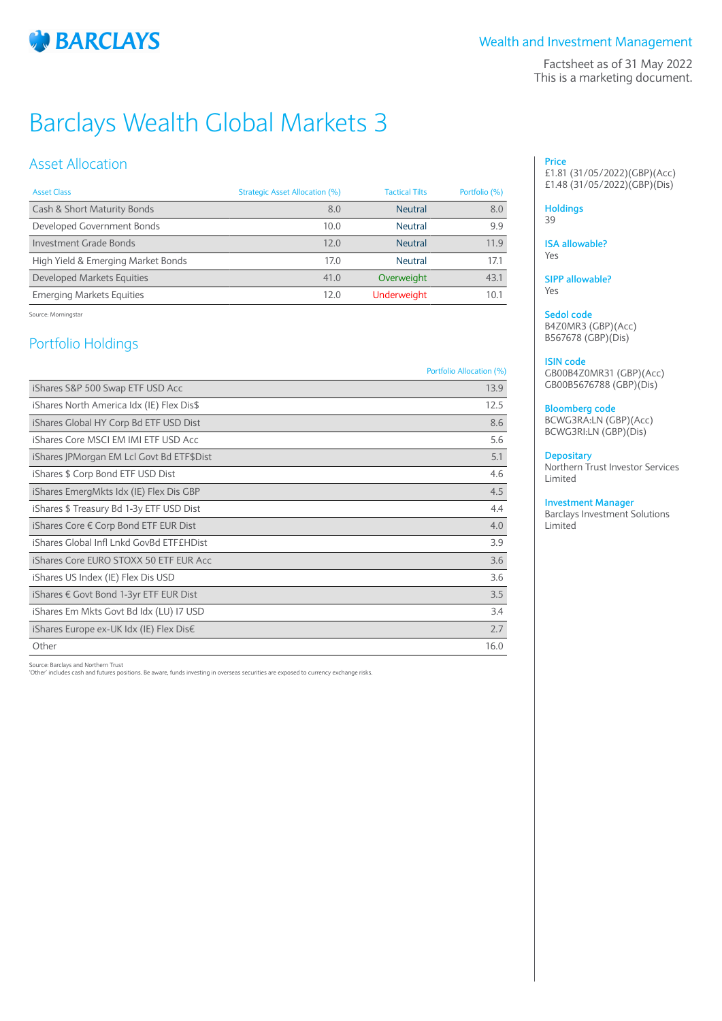

## Wealth and Investment Management

Factsheet as of 31 May 2022 This is a marketing document.

# Barclays Wealth Global Markets 3

# Asset Allocation

| <b>Asset Class</b>                 | Strategic Asset Allocation (%) | <b>Tactical Tilts</b> | Portfolio (%) |
|------------------------------------|--------------------------------|-----------------------|---------------|
| Cash & Short Maturity Bonds        | 8.0                            | <b>Neutral</b>        | 8.0           |
| Developed Government Bonds         | 10.0                           | <b>Neutral</b>        | 9.9           |
| Investment Grade Bonds             | 12.0                           | <b>Neutral</b>        | 11.9          |
| High Yield & Emerging Market Bonds | 17.0                           | <b>Neutral</b>        | 17.1          |
| Developed Markets Equities         | 41.0                           | Overweight            | 43.1          |
| <b>Emerging Markets Equities</b>   | 12.0                           | <b>Underweight</b>    | 10.1          |

Source: Morningstar

# Portfolio Holdings

#### Portfolio Allocation (%)

| iShares S&P 500 Swap ETF USD Acc          | 13.9 |
|-------------------------------------------|------|
| iShares North America Idx (IE) Flex Dis\$ | 12.5 |
| iShares Global HY Corp Bd ETF USD Dist    | 8.6  |
| iShares Core MSCI EM IMI ETF USD Acc.     | 5.6  |
| iShares JPMorgan EM Lcl Govt Bd ETF\$Dist | 5.1  |
| iShares \$ Corp Bond ETF USD Dist         | 4.6  |
| iShares EmergMkts Idx (IE) Flex Dis GBP   | 4.5  |
| iShares \$ Treasury Bd 1-3y ETF USD Dist  | 4.4  |
| iShares Core € Corp Bond ETF EUR Dist     | 4.0  |
| iShares Global Infl Lnkd GovBd ETF£HDist  | 3.9  |
| iShares Core EURO STOXX 50 ETF EUR Acc    | 3.6  |
| iShares US Index (IE) Flex Dis USD        | 3.6  |
| iShares € Govt Bond 1-3yr ETF EUR Dist    | 3.5  |
| iShares Em Mkts Govt Bd Idx (LU) I7 USD   | 3.4  |
| iShares Europe ex-UK Idx (IE) Flex Dis€   | 2.7  |
| Other                                     | 16.0 |

Source: Barclays and Northern Trust 'Other' includes cash and futures positions. Be aware, funds investing in overseas securities are exposed to currency exchange risks.

#### **Price** £1.81 (31/05/2022)(GBP)(Acc) £1.48 (31/05/2022)(GBP)(Dis)

#### **Holdings**

39

#### **ISA allowable?** Yes

**SIPP allowable?** Yes

# **Sedol code**

B4Z0MR3 (GBP)(Acc) B567678 (GBP)(Dis)

#### **ISIN code**

GB00B4Z0MR31 (GBP)(Acc) GB00B5676788 (GBP)(Dis)

#### **Bloomberg code**

BCWG3RA:LN (GBP)(Acc) BCWG3RI:LN (GBP)(Dis)

#### **Depositary**

Northern Trust Investor Services Limited

#### **Investment Manager**

Barclays Investment Solutions Limited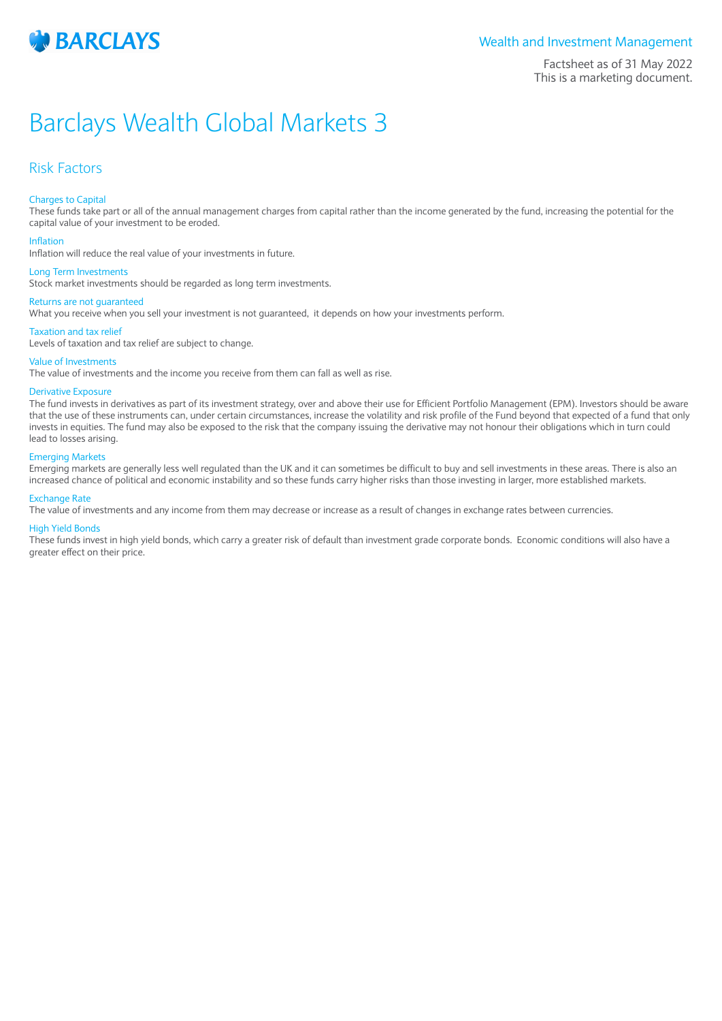

### Wealth and Investment Management

Factsheet as of 31 May 2022 This is a marketing document.

# Barclays Wealth Global Markets 3

## Risk Factors

#### Charges to Capital

These funds take part or all of the annual management charges from capital rather than the income generated by the fund, increasing the potential for the capital value of your investment to be eroded.

#### Inflation

Inflation will reduce the real value of your investments in future.

#### Long Term Investments

Stock market investments should be regarded as long term investments.

#### Returns are not guaranteed

What you receive when you sell your investment is not guaranteed, it depends on how your investments perform.

#### Taxation and tax relief

Levels of taxation and tax relief are subject to change.

#### Value of Investments

The value of investments and the income you receive from them can fall as well as rise.

#### Derivative Exposure

The fund invests in derivatives as part of its investment strategy, over and above their use for Efficient Portfolio Management (EPM). Investors should be aware that the use of these instruments can, under certain circumstances, increase the volatility and risk profile of the Fund beyond that expected of a fund that only invests in equities. The fund may also be exposed to the risk that the company issuing the derivative may not honour their obligations which in turn could lead to losses arising.

#### Emerging Markets

Emerging markets are generally less well regulated than the UK and it can sometimes be difficult to buy and sell investments in these areas. There is also an increased chance of political and economic instability and so these funds carry higher risks than those investing in larger, more established markets.

#### Exchange Rate

The value of investments and any income from them may decrease or increase as a result of changes in exchange rates between currencies.

#### High Yield Bonds

These funds invest in high yield bonds, which carry a greater risk of default than investment grade corporate bonds. Economic conditions will also have a greater effect on their price.